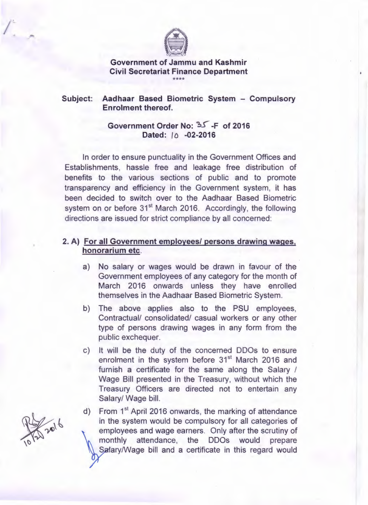

### **Government of Jammu and Kashmir Civil Secretariat Finance Department**  \*\*\*\*

### **Subject: Aadhaar Based Biometric System - Compulsory Enrolment thereof.**

## **Government Order No:** ~ **-F of 2016 Dated: ID -02-2016**

In order to ensure punctuality in the Government Offices and Establishments, hassle free and leakage free distribution of benefits to the various sections of public and to promote transparency and efficiency in the Government system, it has been decided to switch over to the Aadhaar Based Biometric system on or before 31<sup>st</sup> March 2016. Accordingly, the following directions are issued for strict compliance by all concerned:

### **2. A) For all Government employees/ persons drawing wages, honorarium etc.**

- a) No salary or wages would be drawn in favour of the Government employees of any category for the month of March 2016 onwards unless they have enrolled themselves in the Aadhaar Based Biometric System.
- b) The above applies also to the PSU employees, Contractual/ consolidated/ casual workers or any other type of persons drawing wages in any form from the public exchequer.
- c) It will be the duty of the concerned DDOs to ensure enrolment in the system before  $31<sup>st</sup>$  March 2016 and furnish a certificate for the same along the Salary / Wage Bill presented in the Treasury, without which the Treasury Officers are directed not to entertain any Salary/ Wage bill.

d) From 1<sup>st</sup> April 2016 onwards, the marking of attendance in the system would be compulsory for all categories of employees and wage earners. Only after the scrutiny of monthly attendance, the DDOs would prepare Salary/Wage bill and a certificate in this regard would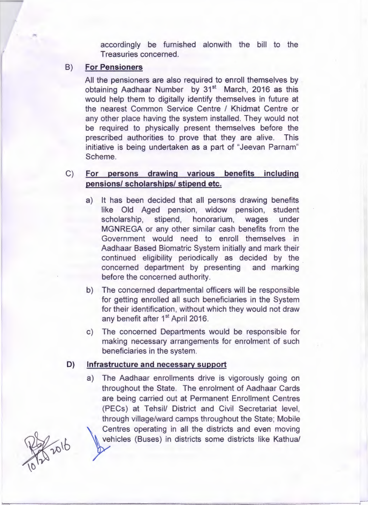accordingly be furnished alonwith the bill to the Treasuries concerned.

### **8) For Pensioners**

All the pensioners are also required to enroll themselves by obtaining Aadhaar Number by 31<sup>st</sup> March, 2016 as this would help them to digitally identify themselves in future at the nearest Common Service Centre / Khidmat Centre or any other place having the system installed. They would not be required to physically present themselves before the prescribed authorities to prove that they are alive. This initiative is being undertaken as a part of "Jeevan Parnam" Scheme.

## C) **For persons drawing various benefits including pensions/ scholarships/ stipend etc.**

- a) It has been decided that all persons drawing benefits like Old Aged pension, widow pension, student scholarship, stipend, honorarium, wages under MGNREGA or any other similar cash benefits from the Government would need to enroll themselves in Aadhaar Based Biomatric System initially and mark their continued eligibility periodically as decided by the concerned department by presenting and marking before the concerned authority.
- b) The concerned departmental officers will be responsible for getting enrolled all such beneficiaries in the System for their identification, without which they would not draw any benefit after 1<sup>st</sup> April 2016.
- c) The concerned Departments would be responsible for making necessary arrangements for enrolment of such beneficiaries in the system.

### **D) Infrastructure and necessary support**

a) The Aadhaar enrollments drive is vigorously going on throughout the State. The enrolment of Aadhaar Cards are being carried out at Permanent Enrollment Centres (PECs) at Tehsil/ District and Civil Secretariat level, through village/ward camps throughout the State; Mobile Centres operating in all the districts and even moving vehicles (Buses) in districts some districts like Kathua/

\$2016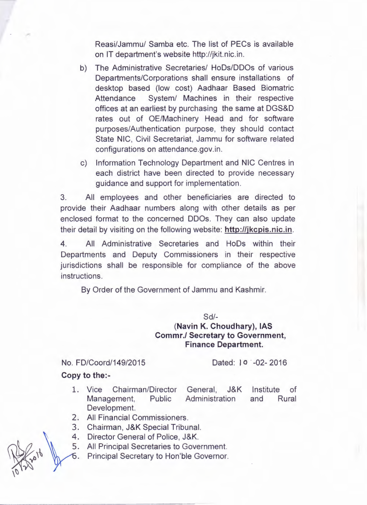Reasi/Jammu/ Samba etc. The list of PECs is available on IT department's website http://jkit.nic.in.

- b) The Administrative Secretaries/ HoDs/DDOs of various Departments/Corporations shall ensure installations of desktop based (low cost) Aadhaar Based Biomatric Attendance System/ Machines in their respective offices at an earliest by purchasing the same at DGS&D rates out of OE/Machinery Head and for software purposes/Authentication purpose, they should contact State NIC, Civil Secretariat, Jammu for software related configurations on attendance.gov.in.
- c) Information Technology Department and NIC Centres in each district have been directed to provide necessary guidance and support for implementation.

3. All employees and other beneficiaries are directed to provide their Aadhaar numbers along with other details as per enclosed format to the concerned DDOs. They can also update their detail by visiting on the following website: **http://jkcpis.nic.in.** 

4. All Administrative Secretaries and HoDs within their Departments and Deputy Commissioners in their respective jurisdictions shall be responsible for compliance of the above instructions.

By Order of the Government of Jammu and Kashmir.

Sd/-

# **(Navin K. Choudhary), IAS Commr./ Secretary to Government, Finance Department.**

No. FD/Coord/149/2015 Dated: 10 -02- 2016

### **Copy to the:-**

- 1. Vice Chairman/Director General, J&K Management, Public Administration Development. Institute of and Rural
- All Financial Commissioners.
- $3.$ Chairman, J&K Special Tribunal.
- Director General of Police, J&K. 4.
- All Principal Secretaries to Government. 5.
- Principal Secretary to Hon'ble Governor.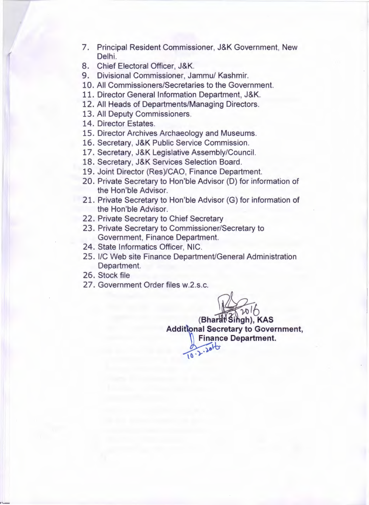- 7. Principal Resident Commissioner, J&K Government, New Delhi.
- 8. Chief Electoral Officer, J&K.
- 9. Divisional Commissioner, Jammu/ Kashmir.
- 10. All Commissioners/Secretaries to the Government.
- 11. Director General Information Department, J&K.
- 12. All Heads of Departments/Managing Directors.
- 13. All Deputy Commissioners.
- 14. Director Estates.
- 15. Director Archives Archaeology and Museums.
- 16. Secretary, J&K Public Service Commission.
- 17. Secretary, J&K Legislative Assembly/Council.
- 18. Secretary, J&K Services Selection Board.
- 19. Joint Director (Res)/CAO, Finance Department.
- 20. Private Secretary to Hon'ble Advisor (D) for information of the Hon'ble Advisor.
- 21. Private Secretary to Hon'ble Advisor (G) for information of the Hon'ble Advisor.
- 22. Private Secretary to Chief Secretary
- 23. Private Secretary to Commissioner/Secretary to Government, Finance Department.
- 24. State Informatics Officer, NIC.
- 25. l/C Web site Finance Department/General Administration Department.
- 26. Stock file
- 27. Government Order files w.2.s.c.

 $R_{wh}$ 

(Bharat<sup>Singh)</sub>, KAS</sup> **Additional Secretary to Government, Finance Department.**   $0.2.20 10$